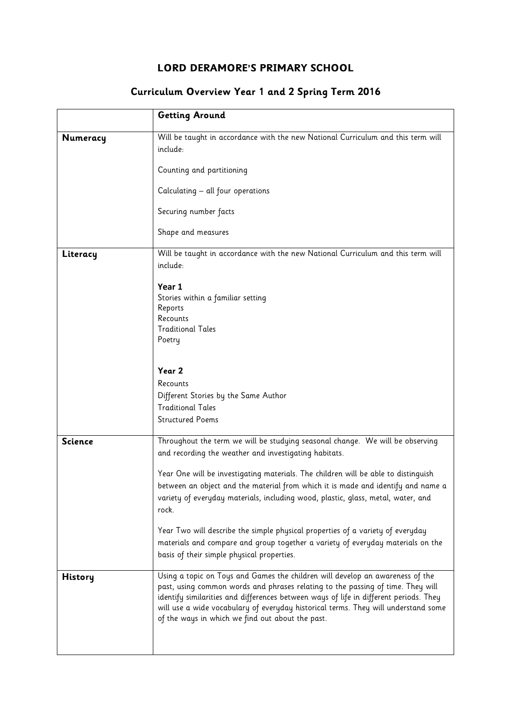## LORD DERAMORE'S PRIMARY SCHOOL

## Curriculum Overview Year 1 and 2 Spring Term 2016

|                | <b>Getting Around</b>                                                                                                                                                                                                                                                                                                                                                                               |
|----------------|-----------------------------------------------------------------------------------------------------------------------------------------------------------------------------------------------------------------------------------------------------------------------------------------------------------------------------------------------------------------------------------------------------|
| Numeracy       | Will be taught in accordance with the new National Curriculum and this term will<br>include:                                                                                                                                                                                                                                                                                                        |
|                | Counting and partitioning                                                                                                                                                                                                                                                                                                                                                                           |
|                | Calculating - all four operations                                                                                                                                                                                                                                                                                                                                                                   |
|                | Securing number facts                                                                                                                                                                                                                                                                                                                                                                               |
|                | Shape and measures                                                                                                                                                                                                                                                                                                                                                                                  |
| Literacy       | Will be taught in accordance with the new National Curriculum and this term will<br>include:                                                                                                                                                                                                                                                                                                        |
|                | Year 1                                                                                                                                                                                                                                                                                                                                                                                              |
|                | Stories within a familiar setting                                                                                                                                                                                                                                                                                                                                                                   |
|                | Reports<br>Recounts                                                                                                                                                                                                                                                                                                                                                                                 |
|                | <b>Traditional Tales</b><br>Poetry                                                                                                                                                                                                                                                                                                                                                                  |
|                |                                                                                                                                                                                                                                                                                                                                                                                                     |
|                | Year 2                                                                                                                                                                                                                                                                                                                                                                                              |
|                | Recounts                                                                                                                                                                                                                                                                                                                                                                                            |
|                | Different Stories by the Same Author<br><b>Traditional Tales</b>                                                                                                                                                                                                                                                                                                                                    |
|                | <b>Structured Poems</b>                                                                                                                                                                                                                                                                                                                                                                             |
| <b>Science</b> | Throughout the term we will be studying seasonal change. We will be observing<br>and recording the weather and investigating habitats.                                                                                                                                                                                                                                                              |
|                | Year One will be investigating materials. The children will be able to distinguish<br>between an object and the material from which it is made and identify and name a<br>variety of everyday materials, including wood, plastic, glass, metal, water, and<br>rock.                                                                                                                                 |
|                | Year Two will describe the simple physical properties of a variety of everyday<br>materials and compare and group together a variety of everyday materials on the<br>basis of their simple physical properties.                                                                                                                                                                                     |
| <b>History</b> | Using a topic on Toys and Games the children will develop an awareness of the<br>past, using common words and phrases relating to the passing of time. They will<br>identify similarities and differences between ways of life in different periods. They<br>will use a wide vocabulary of everyday historical terms. They will understand some<br>of the ways in which we find out about the past. |
|                |                                                                                                                                                                                                                                                                                                                                                                                                     |